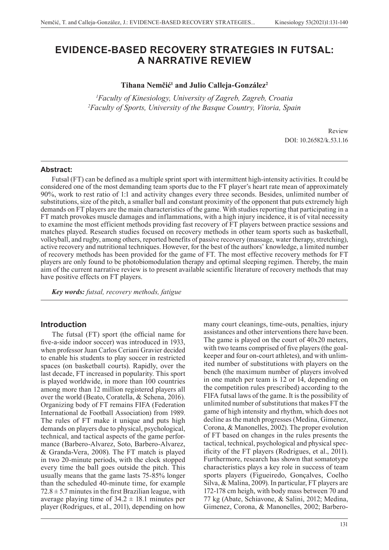# **EVIDENCE-BASED RECOVERY STRATEGIES IN FUTSAL: A NARRATIVE REVIEW**

### **Tihana Nemčić<sup>1</sup> and Julio Calleja-González2**

*1 Faculty of Kinesiology, University of Zagreb, Zagreb, Croatia 2 Faculty of Sports, University of the Basque Country, Vitoria, Spain*

> Review DOI: 10.26582/k.53.1.16

#### **Abstract:**

Futsal (FT) can be defined as a multiple sprint sport with intermittent high-intensity activities. It could be considered one of the most demanding team sports due to the FT player's heart rate mean of approximately 90%, work to rest ratio of 1:1 and activity changes every three seconds. Besides, unlimited number of substitutions, size of the pitch, a smaller ball and constant proximity of the opponent that puts extremely high demands on FT players are the main characteristics of the game. With studies reporting that participating in a FT match provokes muscle damages and inflammations, with a high injury incidence, it is of vital necessity to examine the most efficient methods providing fast recovery of FT players between practice sessions and matches played. Research studies focused on recovery methods in other team sports such as basketball, volleyball, and rugby, among others, reported benefits of passive recovery (massage, water therapy, stretching), active recovery and nutritional techniques. However, for the best of the authors' knowledge, a limited number of recovery methods has been provided for the game of FT. The most effective recovery methods for FT players are only found to be photobiomodulation therapy and optimal sleeping regimen. Thereby, the main aim of the current narrative review is to present available scientific literature of recovery methods that may have positive effects on FT players.

*Key words: futsal, recovery methods, fatigue* 

### **Introduction**

The futsal (FT) sport (the official name for five-a-side indoor soccer) was introduced in 1933, when professor Juan Carlos Ceriani Gravier decided to enable his students to play soccer in restricted spaces (on basketball courts). Rapidly, over the last decade, FT increased in popularity. This sport is played worldwide, in more than 100 countries among more than 12 million registered players all over the world (Beato, Coratella, & Schena, 2016). Organizing body of FT remains FIFA (Federation International de Football Association) from 1989. The rules of FT make it unique and puts high demands on players due to physical, psychological, technical, and tactical aspects of the game performance (Barbero-Alvarez, Soto, Barbero-Alvarez, & Granda-Vera, 2008). The FT match is played in two 20-minute periods, with the clock stopped every time the ball goes outside the pitch. This usually means that the game lasts 75-85% longer than the scheduled 40-minute time, for example  $72.8 \pm 5.7$  minutes in the first Brazilian league, with average playing time of  $34.2 \pm 18.1$  minutes per player (Rodrigues, et al., 2011), depending on how

many court cleanings, time-outs, penalties, injury assistances and other interventions there have been. The game is played on the court of 40x20 meters, with two teams comprised of five players (the goalkeeper and four on-court athletes), and with unlimited number of substitutions with players on the bench (the maximum number of players involved in one match per team is 12 or 14, depending on the competition rules prescribed) according to the FIFA futsal laws of the game. It is the possibility of unlimited number of substitutions that makes FT the game of high intensity and rhythm, which does not decline as the match progresses (Medina, Gimenez, Corona, & Manonelles, 2002). The proper evolution of FT based on changes in the rules presents the tactical, technical, psychological and physical specificity of the FT players (Rodrigues, et al., 2011). Furthermore, research has shown that somatotype characteristics plays a key role in success of team sports players (Figueiredo, Gonçalves, Coelho Silva, & Malina, 2009). In particular, FT players are 172-178 cm heigh, with body mass between 70 and 77 kg (Abate, Schiavone, & Salini, 2012; Medina, Gimenez, Corona, & Manonelles, 2002; Barbero-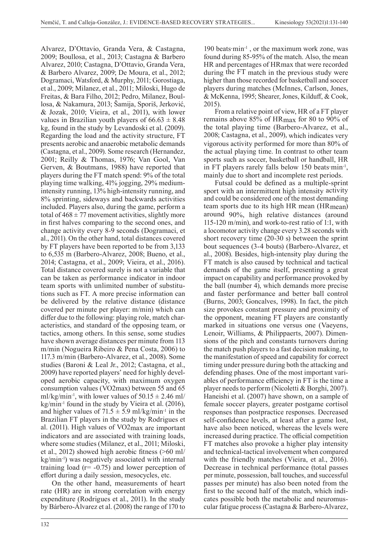Alvarez, D'Ottavio, Granda Vera, & Castagna, 2009; Boullosa, et al., 2013; Castagna & Barbero Alvarez, 2010; Castagna, D'Ottavio, Granda Vera, & Barbero Alvarez, 2009; De Moura, et al., 2012; Dogramaci, Watsford, & Murphy, 2011; Gorostiaga, et al., 2009; Milanez, et al., 2011; Miloski, Hugo de Freitas, & Bara Filho, 2012; Pedro, Milanez, Boullosa, & Nakamura, 2013; Šamija, Sporiš, Jerković, & Jozak, 2010; Vieira, et al., 2011), with lower values in Brazilian youth players of  $66.63 \pm 8.48$ kg, found in the study by Levandoski et al. (2009). Regarding the load and the activity structure, FT presents aerobic and anaerobic metabolic demands (Castagna, et al., 2009). Some research (Hernandez, 2001; Reilly & Thomas, 1976; Van Gool, Van Gerven, & Boutmans, 1988) have reported that players during the FT match spend: 9% of the total playing time walking, 41% jogging, 29% mediumintensity running, 13% high-intensity running, and 8% sprinting, sideways and backwards activities included. Players also, during the game, perform a total of  $468 \pm 77$  movement activities, slightly more in first halves comparing to the second ones, and change activity every 8-9 seconds (Dogramaci, et al., 2011). On the other hand, total distances covered by FT players have been reported to be from 3,133 to 6,535 m (Barbero-Alvarez, 2008; Bueno, et al., 2014; Castagna, et al., 2009; Vieira, et al., 2016). Total distance covered surely is not a variable that can be taken as performance indicator in indoor team sports with unlimited number of substitutions such as FT. A more precise information can be delivered by the relative distance (distance covered per minute per player: m/min) which can differ due to the following: playing role, match characteristics, and standard of the opposing team, or tactics, among others. In this sense, some studies have shown average distances per minute from 113 m/min (Nogueira Ribeiro & Pena Costa, 2006) to 117.3 m/min (Barbero-Alvarez, et al., 2008). Some studies (Baroni & Leal Jr., 2012; Castagna, et al., 2009) have reported players' need for highly developed aerobic capacity, with maximum oxygen consumption values (VO2max) between 55 and 65 ml/kg/min<sup>-1</sup>, with lower values of  $50.15 \pm 2.46$  ml/ kg/min-1 found in the study by Vieira et al. (2016), and higher values of  $71.5 \pm 5.9$  ml/kg/min<sup>-1</sup> in the Brazilian FT players in the study by Rodrigues et al. (2011). High values of VO2max are important indicators and are associated with training loads, where some studies (Milanez, et al., 2011; Miloski, et al., 2012) showed high aerobic fitness (>60 ml/ kg/min-1) was negatively associated with internal training load  $(r = -0.75)$  and lower perception of effort during a daily session, mesocycles, etc.

On the other hand, measurements of heart rate (HR) are in strong correlation with energy expenditure (Rodrigues et al., 2011). In the study by Bárbero-Álvarez et al. (2008) the range of 170 to

190 beats·min-1 , or the maximum work zone, was found during 85-95% of the match. Also, the mean HR and percentages of HRmax that were recorded during the FT match in the previous study were higher than those recorded for basketball and soccer players during matches (McInnes, Carlson, Jones, & McKenna, 1995; Shearer, Jones, Kilduff, & Cook, 2015).

From a relative point of view, HR of a FT player remains above 85% of HRmax for 80 to 90% of the total playing time (Barbero-Alvarez, et al., 2008; Castagna, et al., 2009), which indicates very vigorous activity performed for more than 80% of the actual playing time. In contrast to other team sports such as soccer, basketball or handball, HR in FT players rarely falls below 150 beats min<sup>-1</sup>, mainly due to short and incomplete rest periods.

Futsal could be defined as a multiple-sprint sport with an intermittent high intensity activity and could be considered one of the most demanding team sports due to its high HR mean (HRmean) around 90%, high relative distances (around 115-120 m/min), and work-to-rest ratio of 1:1, with a locomotor activity change every 3.28 seconds with short recovery time (20-30 s) between the sprint bout sequences (3-4 bouts) (Barbero-Alvarez, et al., 2008). Besides, high-intensity play during the FT match is also caused by technical and tactical demands of the game itself, presenting a great impact on capability and performance provoked by the ball (number 4), which demands more precise and faster performance and better ball control (Burns, 2003; Goncalves, 1998). In fact, the pitch size provokes constant pressure and proximity of the opponent, meaning FT players are constantly marked in situations one versus one (Vaeyens, Lenoir, Williams, & Philippaerts, 2007). Dimensions of the pitch and constants turnovers during the match push players to a fast decision making, to the manifestation of speed and capability for correct timing under pressure during both the attacking and defending phases. One of the most important variables of performance efficiency in FT is the time a player needs to perform (Nicoletti & Borghi, 2007). Haneishi et al. (2007) have shown, on a sample of female soccer players, greater postgame cortisol responses than postpractice responses. Decreased self-confidence levels, at least after a game lost, have also been noticed, whereas the levels were increased during practice. The official competition FT matches also provoke a higher play intensity and technical-tactical involvement when compared with the friendly matches (Vieira, et al., 2016). Decrease in technical performance (total passes per minute, possession, ball touches, and successful passes per minute) has also been noted from the first to the second half of the match, which indicates possible both the metabolic and neuromuscular fatigue process (Castagna & Barbero-Alvarez,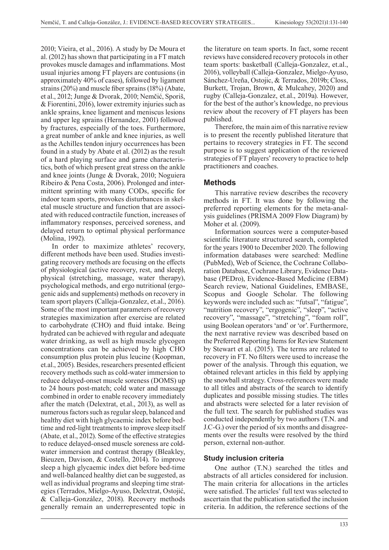2010; Vieira, et al., 2016). A study by De Moura et al. (2012) has shown that participating in a FT match provokes muscle damages and inflammations. Most usual injuries among FT players are contusions (in approximately 40% of cases), followed by ligament strains (20%) and muscle fiber sprains (18%) (Abate, et al., 2012; Junge & Dvorak, 2010; Nemčić, Sporiš, & Fiorentini, 2016), lower extremity injuries such as ankle sprains, knee ligament and meniscus lesions and upper leg sprains (Hernandez, 2001) followed by fractures, especially of the toes. Furthermore, a great number of ankle and knee injuries, as well as the Achilles tendon injury occurrences has been found in a study by Abate et al. (2012) as the result of a hard playing surface and game characteristics, both of which present great stress on the ankle and knee joints (Junge & Dvorak, 2010; Noguiera Ribeiro & Pena Costa, 2006). Prolonged and intermittent sprinting with many CODs, specific for indoor team sports, provokes disturbances in skeletal muscle structure and function that are associated with reduced contractile function, increases of inflammatory responses, perceived soreness, and delayed return to optimal physical performance (Molina, 1992).

In order to maximize athletes' recovery, different methods have been used. Studies investigating recovery methods are focusing on the effects of physiological (active recovery, rest, and sleep), physical (stretching, massage, water therapy), psychological methods, and ergo nutritional (ergogenic aids and supplements) methods on recovery in team sport players (Calleja-Gonzalez, et.al., 2016). Some of the most important parameters of recovery strategies maximization after exercise are related to carbohydrate (CHO) and fluid intake. Being hydrated can be achieved with regular and adequate water drinking, as well as high muscle glycogen concentrations can be achieved by high CHO consumption plus protein plus leucine (Koopman, et.al., 2005). Besides, researchers presented efficient recovery methods such as cold-water immersion to reduce delayed-onset muscle soreness (DOMS) up to 24 hours post-match; cold water and massage combined in order to enable recovery immediately after the match (Delextrat, et.al., 2013), as well as numerous factors such as regular sleep, balanced and healthy diet with high glycaemic index before bedtime and red-light treatments to improve sleep itself (Abate, et al., 2012). Some of the effective strategies to reduce delayed-onsed muscle soreness are coldwater immersion and contrast therapy (Bleakley, Bieuzen, Davison, & Costello, 2014). To improve sleep a high glycaemic index diet before bed-time and well-balanced healthy diet can be suggested, as well as individual programs and sleeping time strategies (Terrados, Mielgo-Ayuso, Delextrat, Ostojić, & Calleja-González, 2018). Recovery methods generally remain an underrepresented topic in

the literature on team sports. In fact, some recent reviews have considered recovery protocols in other team sports: basketball (Calleja-Gonzalez, et.al., 2016), volleyball (Calleja-Gonzalez, Mielgo-Ayuso, Sánchez-Ureña, Ostojic, & Terrados, 2019b; Closs, Burkett, Trojan, Brown, & Mulcahey, 2020) and rugby (Calleja-Gonzalez, et.al., 2019a). However, for the best of the author's knowledge, no previous review about the recovery of FT players has been published.

Therefore, the main aim of this narrative review is to present the recently published literature that pertains to recovery strategies in FT. The second purpose is to suggest application of the reviewed strategies of FT players' recovery to practice to help practitioners and coaches.

### **Methods**

This narrative review describes the recovery methods in FT. It was done by following the preferred reporting elements for the meta-analysis guidelines (PRISMA 2009 Flow Diagram) by Moher et al. (2009).

Information sources were a computer-based scientific literature structured search, completed for the years 1900 to December 2020. The following information databases were searched: Medline (PubMed), Web of Science, the Cochrane Collaboration Database, Cochrane Library, Evidence Database (PEDro), Evidence-Based Medicine (EBM) Search review, National Guidelines, EMBASE, Scopus and Google Scholar. The following keywords were included such as: "futsal", "fatigue", "nutrition recovery", "ergogenic", "sleep", "active recovery", "massage", "stretching", "foam roll", using Boolean operators 'and' or 'or'. Furthermore, the next narrative review was described based on the Preferred Reporting Items for Review Statement by Stewart et al. (2015). The terms are related to recovery in FT. No filters were used to increase the power of the analysis. Through this equation, we obtained relevant articles in this field by applying the snowball strategy. Cross-references were made to all titles and abstracts of the search to identify duplicates and possible missing studies. The titles and abstracts were selected for a later revision of the full text. The search for published studies was conducted independently by two authors (T.N. and J.C-G.) over the period of six months and disagreements over the results were resolved by the third person, external non-author.

### **Study inclusion criteria**

One author (T.N.) searched the titles and abstracts of all articles considered for inclusion. The main criteria for allocations in the articles were satisfied. The articles' full text was selected to ascertain that the publication satisfied the inclusion criteria. In addition, the reference sections of the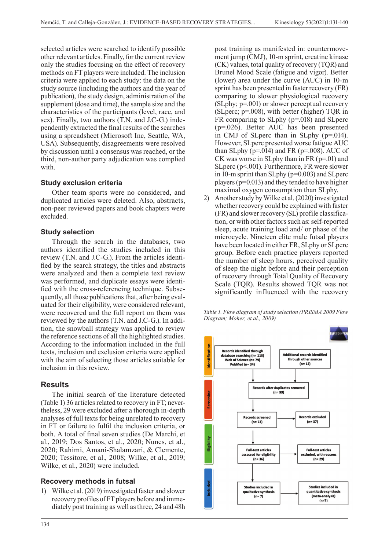selected articles were searched to identify possible other relevant articles. Finally, for the current review only the studies focusing on the effect of recovery methods on FT players were included. The inclusion criteria were applied to each study: the data on the study source (including the authors and the year of publication), the study design, administration of the supplement (dose and time), the sample size and the characteristics of the participants (level, race, and sex). Finally, two authors (T.N. and J.C-G.) independently extracted the final results of the searches using a spreadsheet (Microsoft Inc, Seattle, WA, USA). Subsequently, disagreements were resolved by discussion until a consensus was reached, or the third, non-author party adjudication was complied with.

### **Study exclusion criteria**

Other team sports were no considered, and duplicated articles were deleted. Also, abstracts, non-peer reviewed papers and book chapters were excluded.

### **Study selection**

Through the search in the databases, two authors identified the studies included in this review (T.N. and J.C-G.). From the articles identified by the search strategy, the titles and abstracts were analyzed and then a complete text review was performed, and duplicate essays were identified with the cross-referencing technique. Subsequently, all those publications that, after being evaluated for their eligibility, were considered relevant, were recovered and the full report on them was reviewed by the authors (T.N. and J.C-G.). In addition, the snowball strategy was applied to review the reference sections of all the highlighted studies. According to the information included in the full texts, inclusion and exclusion criteria were applied with the aim of selecting those articles suitable for inclusion in this review.

### **Results**

The initial search of the literature detected (Table 1) 36 articles related to recovery in FT; nevertheless, 29 were excluded after a thorough in-depth analyses of full texts for being unrelated to recovery in FT or failure to fulfil the inclusion criteria, or both. A total of final seven studies (De Marchi, et al., 2019; Dos Santos, et al., 2020; Nunes, et al., 2020; Rahimi, Amani-Shalamzari, & Clemente, 2020; Tessitore, et al., 2008; Wilke, et al., 2019; Wilke, et al., 2020) were included.

### **Recovery methods in futsal**

1) Wilke et al. (2019) investigated faster and slower recovery profiles of FT players before and immediately post training as well as three, 24 and 48h

post training as manifested in: countermovement jump (CMJ), 10-m sprint, creatine kinase (CK) values, total quality of recovery (TQR) and Brunel Mood Scale (fatigue and vigor). Better (lower) area under the curve (AUC) in 10-m sprint has been presented in faster recovery (FR) comparing to slower physiological recovery (SLphy; p=.001) or slower perceptual recovery (SLperc;  $p=008$ ), with better (higher) TOR in FR comparing to SLphy (p=.018) and SLperc (p=.026). Better AUC has been presented in CMJ of SLperc than in SLphy (p=.014). However, SLperc presented worse fatigue AUC than SLphy ( $p=.014$ ) and FR ( $p=.008$ ). AUC of CK was worse in SLphy than in FR  $(p=01)$  and SLperc (p<.001). Furthermore, FR were slower in 10-m sprint than SLphy (p=0.003) and SLperc players (p=0.013) and they tended to have higher maximal oxygen consumption than SLphy.

2) Another study by Wilke et al. (2020) investigated whether recovery could be explained with faster (FR) and slower recovery (SL) profile classification, or with other factors such as: self-reported sleep, acute training load and/ or phase of the microcycle. Nineteen elite male futsal players have been located in either FR, SLphy or SLperc group. Before each practice players reported the number of sleep hours, perceived quality of sleep the night before and their perception of recovery through Total Quality of Recovery Scale (TQR). Results showed TQR was not significantly influenced with the recovery

*Table 1. Flow diagram of study selection (PRISMA 2009 Flow Diagram; Moher, et al., 2009)*

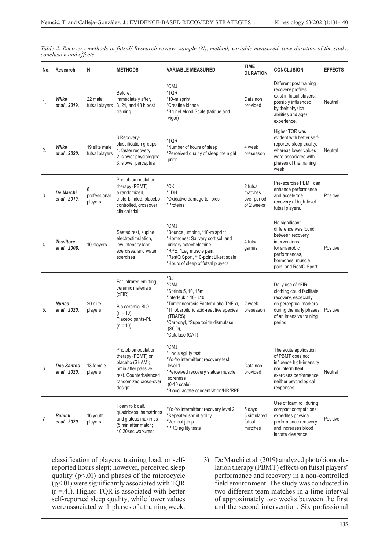*Table 2. Recovery methods in futsal/ Research review: sample (N), method, variable measured, time duration of the study, conclusion and effects*

| No. | Research                           | N                               | <b>METHODS</b>                                                                                                                               | <b>VARIABLE MEASURED</b>                                                                                                                                                                                                        | <b>TIME</b><br><b>DURATION</b>                   | <b>CONCLUSION</b>                                                                                                                                                 | <b>EFFECTS</b> |
|-----|------------------------------------|---------------------------------|----------------------------------------------------------------------------------------------------------------------------------------------|---------------------------------------------------------------------------------------------------------------------------------------------------------------------------------------------------------------------------------|--------------------------------------------------|-------------------------------------------------------------------------------------------------------------------------------------------------------------------|----------------|
| 1.  | Wilke<br>et al., 2019.             | 22 male<br>futsal players       | Before,<br>immediately after.<br>3, 24, and 48 h post<br>training                                                                            | *CMJ<br>*TQR<br>*10-m sprint<br>*Creatine kinase<br>*Brunel Mood Scale (fatigue and<br>vigor)                                                                                                                                   | Data non<br>provided                             | Different post training<br>recovery profiles<br>exist in futsal players,<br>possibly influenced<br>by their physical<br>abilities and age/<br>experience.         | Neutral        |
| 2.  | Wilke<br>et al., 2020.             | 19 elite male<br>futsal players | 3 Recovery-<br>classification groups:<br>1. faster recovery<br>2. slower physiological<br>3. slower perceptual                               | *TQR<br>*Number of hours of sleep<br>*Perceived quality of sleep the night<br>prior                                                                                                                                             | 4 week<br>preseason                              | Higher TQR was<br>evident with better self-<br>reported sleep quality.<br>whereas lower values<br>were associated with<br>phases of the training<br>week.         | Neutral        |
| 3.  | De Marchi<br>et al., 2019.         | 6<br>professional<br>players    | Photobiomodulation<br>therapy (PBMT)<br>a randomized,<br>triple-blinded, placebo-<br>controlled, crossover<br>clinical trial                 | *CK<br>*LDH<br>*Oxidative damage to lipids<br>*Proteins                                                                                                                                                                         | 2 futsal<br>matches<br>over period<br>of 2 weeks | Pre-exercise PBMT can<br>enhance performance<br>and accelerate<br>recovery of high-level<br>futsal players.                                                       | Positive       |
| 4.  | <b>Tessitore</b><br>et al., 2008.  | 10 players                      | Seated rest, supine<br>electrostimulation,<br>low-intensity land<br>exercises, and water<br>exercises                                        | *CMJ<br>*Bounce jumping, *10-m sprint<br>*Hormones: Salivary cortisol, and<br>urinary catecholamine<br>*RPE, *Leg muscle pain,<br>*RestQ Sport, *10-point Likert scale<br>*Hours of sleep of futsal players                     | 4 futsal<br>games                                | No significant<br>difference was found<br>between recovery<br>interventions<br>for anaerobic<br>performances,<br>hormones, muscle<br>pain, and RestQ Sport.       | Positive       |
| 5.  | <b>Nunes</b><br>et al., 2020.      | 20 elite<br>players             | Far-infrared emitting<br>ceramic materials<br>(cFIR)<br>Bio ceramic-BIO<br>$(n = 10)$<br>Placebo pants-PL<br>$(n = 10)$                      | $*_{SJ}$<br>*CMJ<br>*Sprints 5, 10, 15m<br>*Interleukin 10-IL10<br>*Tumor necrosis Factor alpha-TNF-α,<br>*Thiobarbituric acid-reactive species<br>(TBARS),<br>*Carbonyl, *Superoxide dismutase<br>$(SOD)$ ,<br>*Catalase (CAT) | 2 week<br>preseason                              | Daily use of cFIR<br>clothing could facilitate<br>recovery, especially<br>on perceptual markers<br>during the early phases<br>of an intensive training<br>period. | Positive       |
| 6.  | <b>Dos Santos</b><br>et al., 2020. | 13 female<br>players            | Photobiomodulation<br>therapy (PBMT) or<br>placebo (SHAM);<br>5min after passive<br>rest. Counterbalanced<br>randomized cross-over<br>design | *CMJ<br>*Ilinois agility test<br>*Yo-Yo intermittent recovery test<br>level 1<br>*Perceived recovery status/ muscle<br>soreness<br>$(0-10 \text{ scale})$<br>*Blood lactate concentration/HR/RPE                                | Data non<br>provided                             | The acute application<br>of PBMT does not<br>influence high-intensity<br>nor intermittent<br>exercises performance,<br>neither psychological<br>responses.        | Neutral        |
| 7.  | Rahimi<br>et al., 2020.            | 16 youth<br>players             | Foam roll: calf,<br>quadriceps, hamstrings<br>and gluteus maximus<br>(5 min after match;<br>40:20sec work/rest                               | *Yo-Yo intermittent recovery level 2<br>*Repeated sprint ability<br>*Vertical jump<br>*PRO agility tests                                                                                                                        | 5 days<br>3 simulated<br>futsal<br>matches       | Use of foam roll during<br>compact competitions<br>expedites physical<br>performance recovery<br>and increases blood<br>lactate clearance                         | Positive       |

classification of players, training load, or selfreported hours slept; however, perceived sleep quality  $(p<.01)$  and phases of the microcycle  $(p<.01)$  were significantly associated with TQR  $(r^2 = .41)$ . Higher TQR is associated with better self-reported sleep quality, while lower values were associated with phases of a training week.

3) De Marchi et al. (2019) analyzed photobiomodulation therapy (PBMT) effects on futsal players' performance and recovery in a non-controlled field environment. The study was conducted in two different team matches in a time interval of approximately two weeks between the first and the second intervention. Six professional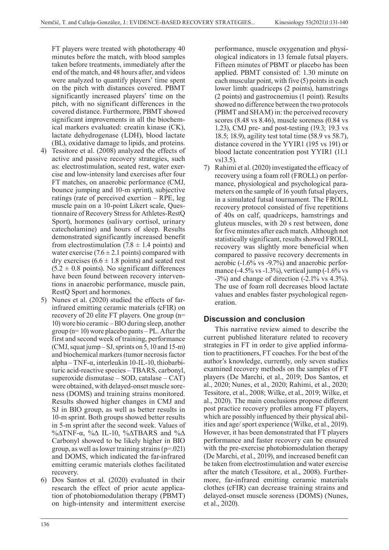FT players were treated with phototherapy 40 minutes before the match, with blood samples taken before treatments, immediately after the end of the match, and 48 hours after, and videos were analyzed to quantify players' time spent on the pitch with distances covered. PBMT significantly increased players' time on the pitch, with no significant differences in the covered distance. Furthermore, PBMT showed significant improvements in all the biochemical markers evaluated: creatin kinase (CK), lactate dehydrogenase (LDH), blood lactate (BL), oxidative damage to lipids, and proteins.

- 4) Tessitore et al. (2008) analyzed the effects of active and passive recovery strategies, such as: electrostimulation, seated rest, water exercise and low-intensity land exercises after four FT matches, on anaerobic performance (CMJ, bounce jumping and 10-m sprint), subjective ratings (rate of perceived exertion - RPE, leg muscle pain on a 10-point Likert scale, Questionnaire of Recovery Stress for Athletes-RestQ Sport), hormones (salivary cortisol, urinary catecholamine) and hours of sleep. Results demonstrated significantly increased benefit from electrostimulation (7.8  $\pm$  1.4 points) and water exercise  $(7.6 \pm 2.1 \text{ points})$  compared with dry exercises  $(6.6 \pm 1.8 \text{ points})$  and seated rest  $(5.2 \pm 0.8 \text{ points})$ . No significant differences have been found between recovery interventions in anaerobic performance, muscle pain, RestQ Sport and hormones.
- 5) Nunes et al. (2020) studied the effects of farinfrared emitting ceramic materials (cFIR) on recovery of 20 elite FT players. One group (n= 10) wore bio ceramic ‒ BIO during sleep, another group ( $n=10$ ) wore placebo pants – PL. After the first and second week of training, performance  $(CMI,$  squat jump  $-SJ$ , sprints on 5, 10 and 15-m) and biochemical markers (tumor necrosis factor  $alpha-TNF-\alpha$ , interleukin 10-IL-10, thiobarbituric acid-reactive species ‒ TBARS, carbonyl, superoxide dismutase  $-$  SOD, catalase  $-$  CAT) were obtained, with delayed-onset muscle soreness (DOMS) and training strains monitored. Results showed higher changes in CMJ and SJ in BIO group, as well as better results in 10-m sprint. Both groups showed better results in 5-m sprint after the second week. Values of %ΔTNF-α, %Δ IL-10, %ΔTBARS and %Δ Carbonyl showed to be likely higher in BIO group, as well as lower training strains  $(p=021)$ and DOMS, which indicated the far-infrared emitting ceramic materials clothes facilitated recovery.
- 6) Dos Santos et al. (2020) evaluated in their research the effect of prior acute application of photobiomodulation therapy (PBMT) on high-intensity and intermittent exercise

performance, muscle oxygenation and physiological indicators in 13 female futsal players. Fifteen minutes of PBMT or placebo has been applied. PBMT consisted of: 1.30 minute on each muscular point, with five (5) points in each lower limb: quadriceps (2 points), hamstrings (2 points) and gastrocnemius (1 point). Results showed no difference between the two protocols (PBMT and SHAM) in: the perceived recovery scores (8.48 vs 8.46), muscle soreness (0.84 vs 1.23), CMJ pre- and post-testing (19.3; 19.3 vs 18.5; 18.9), agility test total time (58.9 vs 58.7), distance covered in the YYIR1 (195 vs 191) or blood lactate concentration post YYIR1 (11.1 vs13.5).

7) Rahimi et al. (2020) investigated the efficacy of recovery using a foam roll (FROLL) on performance, physiological and psychological parameters on the sample of 16 youth futsal players, in a simulated futsal tournament. The FROLL recovery protocol consisted of five repetitions of 40s on calf, quadriceps, hamstrings and gluteus muscles, with 20 s rest between, done for five minutes after each match. Although not statistically significant, results showed FROLL recovery was slightly more beneficial when compared to passive recovery decrements in aerobic (-1.6% vs -9.7%) and anaerobic performance (-4.5% vs -1.3%), vertical jump (-1.6% vs -3%) and change of direction (-2.1% vs 4.3%). The use of foam roll decreases blood lactate values and enables faster psychological regeneration.

## **Discussion and conclusion**

This narrative review aimed to describe the current published literature related to recovery strategies in FT in order to give applied information to practitioners, FT coaches. For the best of the author's knowledge, currently, only seven studies examined recovery methods on the samples of FT players (De Marchi, et al., 2019; Dos Santos, et al., 2020; Nunes, et al., 2020; Rahimi, et al., 2020; Tessitore, et al., 2008; Wilke, et al., 2019; Wilke, et al., 2020). The main conclusions propose different post practice recovery profiles among FT players, which are possibly influenced by their physical abilities and age/ sport experience (Wilke, et al., 2019). However, it has been demonstrated that FT players performance and faster recovery can be ensured with the pre-exercise photobiomodulation therapy (De Marchi, et al., 2019), and increased benefit can be taken from electrostimulation and water exercise after the match (Tessitore, et al., 2008). Furthermore, far-infrared emitting ceramic materials clothes (cFIR) can decrease training strains and delayed-onset muscle soreness (DOMS) (Nunes, et al., 2020).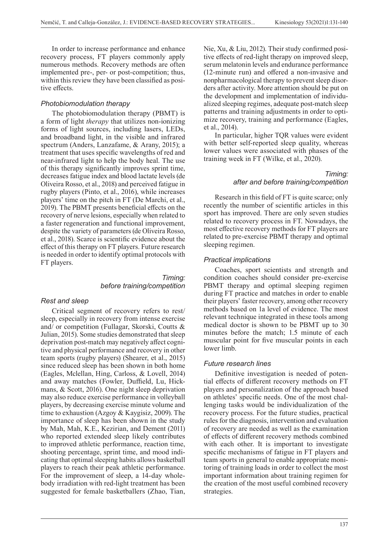In order to increase performance and enhance recovery process, FT players commonly apply numerous methods. Recovery methods are often implemented pre-, per- or post-competition; thus, within this review they have been classified as positive effects.

### *Photobiomodulation therapy*

The photobiomodulation therapy (PBMT) is a form of light *therapy* that utilizes non-ionizing forms of light sources, including lasers, LEDs, and broadband light, in the visible and infrared spectrum (Anders, Lanzafame, & Arany, 2015); a treatment that uses specific wavelengths of red and near-infrared light to help the body heal. The use of this therapy significantly improves sprint time, decreases fatigue index and blood lactate levels (de Oliveira Rosso, et al., 2018) and perceived fatigue in rugby players (Pinto, et al., 2016), while increases players' time on the pitch in FT (De Marchi, et al., 2019). The PBMT presents beneficial effects on the recovery of nerve lesions, especially when related to a faster regeneration and functional improvement, despite the variety of parameters (de Oliveira Rosso, et al., 2018). Scarce is scientific evidence about the effect of this therapy on FT players. Future research is needed in order to identify optimal protocols with FT players.

### *Timing: before training/competition*

### *Rest and sleep*

Critical segment of recovery refers to rest/ sleep, especially in recovery from intense exercise and/ or competition (Fullagar, Skorski, Coutts & Julian, 2015). Some studies demonstrated that sleep deprivation post-match may negatively affect cognitive and physical performance and recovery in other team sports (rugby players) (Shearer, et al., 2015) since reduced sleep has been shown in both home (Eagles, Mclellan, Hing, Carloss, & Lovell, 2014) and away matches (Fowler, Duffield, Lu, Hickmans, & Scott, 2016). One night sleep deprivation may also reduce exercise performance in volleyball players, by decreasing exercise minute volume and time to exhaustion (Azgoy & Kaygisiz, 2009). The importance of sleep has been shown in the study by Mah, Mah, K.E., Kezirian, and Dement (2011) who reported extended sleep likely contributes to improved athletic performance, reaction time, shooting percentage, sprint time, and mood indicating that optimal sleeping habits allows basketball players to reach their peak athletic performance. For the improvement of sleep, a 14-day wholebody irradiation with red-light treatment has been suggested for female basketballers (Zhao, Tian,

Nie, Xu, & Liu, 2012). Their study confirmed positive effects of red-light therapy on improved sleep, serum melatonin levels and endurance performance (12-minute run) and offered a non-invasive and nonpharmacological therapy to prevent sleep disorders after activity. More attention should be put on the development and implementation of individualized sleeping regimes, adequate post-match sleep patterns and training adjustments in order to optimize recovery, training and performance (Eagles, et al., 2014).

In particular, higher TQR values were evident with better self-reported sleep quality, whereas lower values were associated with phases of the training week in FT (Wilke, et al., 2020).

### *Timing: after and before training/competition*

Research in this field of FT is quite scarce; only recently the number of scientific articles in this sport has improved. There are only seven studies related to recovery process in FT. Nowadays, the most effective recovery methods for FT players are related to pre-exercise PBMT therapy and optimal sleeping regimen.

### *Practical implications*

Coaches, sport scientists and strength and condition coaches should consider pre-exercise PBMT therapy and optimal sleeping regimen during FT practice and matches in order to enable their players' faster recovery, among other recovery methods based on 1a level of evidence. The most relevant technique integrated in these tools among medical doctor is shown to be PBMT up to 30 minutes before the match; 1.5 minute of each muscular point for five muscular points in each lower limb.

### *Future research lines*

Definitive investigation is needed of potential effects of different recovery methods on FT players and personalization of the approach based on athletes' specific needs. One of the most challenging tasks would be individualization of the recovery process. For the future studies, practical rules for the diagnosis, intervention and evaluation of recovery are needed as well as the examination of effects of different recovery methods combined with each other. It is important to investigate specific mechanisms of fatigue in FT players and team sports in general to enable appropriate monitoring of training loads in order to collect the most important information about training regimen for the creation of the most useful combined recovery strategies.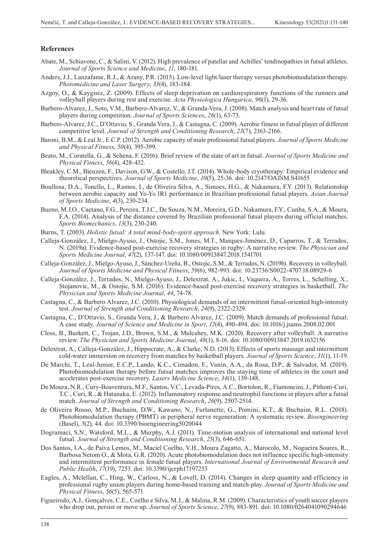#### **References**

- Abate, M., Schiavone, C., & Salini, V. (2012). High prevalence of patellar and Achilles' tendinopathies in futsal athletes. *Journal of Sports Science and Medicine*, *11*, 180-181.
- Anders, J.J., Lanzafame, R.J., & Arany, P.R. (2015). Low-level light/laser therapy versus photobiomodulation therapy. *Photomedicine and Laser Surgery*, *33*(4), 183-184.
- Azgoy, O., & Kaygisiz, Z. (2009). Effects of sleep deprivation on cardiorespiratory functions of the runners and volleyball players during rest and exercise. *Acta Physiologica Hungarica*, *96*(1), 29-36.
- Barbero-Alvarez, J., Soto, V.M., Barbero-Alvarez, V., & Granda-Vera, J. (2008). Match analysis and heart rate of futsal players during competition. *Journal of Sports Sciences*, *26*(1), 63-73.
- Barbero-Alvarez, J.C., D'Ottavio, S., Granda Vera, J., & Castagna, C. (2009). Aerobic fitness in futsal player of different competitive level. *Journal of Strength and Conditioning Research*, *23*(7), 2163-2166.
- Baroni, B.M., & Leal Jr., E.C.P. (2012). Aerobic capacity of male professional futsal players. *Journal of Sports Medicine and Physical Fitness*, *50*(4), 395-399.
- Beato, M., Coratella, G., & Schena, F. (2016). Brief review of the state of art in futsal. *Journal of Sports Medicine and Physical Fitness*, *56*(4), 428-432.
- Bleakley, C.M., Bieuzen, F., Davison, G.W., & Costello, J.T. (2014). Whole-body cryotherapy: Empirical evidence and theoretical perspectives. *Journal of Sports Medicine*, *10*(5), 25-36. doi: 10.2147/OAJSM.S41655
- Boullosa, D.A., Tonello, L., Ramos, I., de Oliveira Silva, A., Simoes, H.G., & Nakamura, F.Y. (2013). Relationship between aerobic capacity and Yo-Yo IR1 performance in Brazilian professional futsal players. *Asian Journal of Sports Medicine*, *4*(3), 230-234.
- Bueno, M.J.O., Caetano, F.G., Pereira, T.J.C., De Souza, N.M., Moreira, G.D., Nakamura, F.Y., Cunha, S.A., & Moura, F.A. (2014). Analysis of the distance covered by Brazilian professional futsal players during official matches. *Sports Biomechanics*, *13*(3), 230-240.
- Burns, T. (2003). *Holistic futsal: A total mind-body-spirit approach*. New York: Lulu.
- Calleja-González, J., Mielgo-Ayuso, J., Ostojic, S.M., Jones, M.T., Marques-Jiménez, D., Caparros, T., & Terrados, N. (2019a). Evidence-based post-exercise recovery strategies in rugby: A narrative review. *The Physician and Sports Medicine Journal*, *47*(2), 137-147. doi: 10.1080/00913847.2018.1541701
- Calleja-González, J., Mielgo-Ayuso, J., Sánchez-Ureña, B., Ostojic, S.M., & Terrados, N. (2019b). Recovery in volleyball. *Journal of Sports Medicine and Physical Fitness*, *59*(6), 982-993. doi: 10.23736/S0022-4707.18.08929-6
- Calleja-González, J., Terrados, N., Mielgo-Ayuso, J., Delextrat, A., Jukic, I., Vaquera, A., Torres, L., Schelling, X., Stojanovic, M., & Ostojic, S.M. (2016). Evidence-based post-exercise recovery strategies in basketball. *The Physician and Sports Medicine Journal*, *44*, 74-78.
- Castagna, C., & Barbero Alvarez, J.C. (2010). Physiological demands of an intermittent futsal-oriented high-intensity test. *Journal of Strength and Conditioning Research*, *24*(9), 2322-2329.
- Castagna, C., D'Ottavio, S., Granda Vera, J., & Barbero Alvarez, J.C. (2009). Match demands of professional futsal: A case study. *Journal of Science and Medicine in Sport*, *12*(4), 490-494. doi: 10.1016/j.jsams.2008.02.001
- Closs, B., Burkett, C., Trojan, J.D., Brown, S.M., & Mulcahey, M.K. (2020). Recovery after volleyball: A narrative review. *The Physician and Sports Medicine Journal*, *48*(1), 8-16. doi: 10.1080/00913847.2019.1632156
- Delextrat, A., Calleja-González, J., Hippocrate, A., & Clarke, N.D. (2013). Effects of sports massage and intermittent cold-water immersion on recovery from matches by basketball players. *Journal of Sports Science*, *31*(1), 11-19.
- De Marchi, T., Leal-Junior, E.C.P., Lando, K.C., Cimadon, F., Vanin, A.A., da Rosa, D.P., & Salvador, M. (2019). Photobiomodulation therapy before futsal matches improves the staying time of athletes in the court and accelerates post-exercise recovery. *Lasers Medicine Science*, *34*(1), 139-148.
- De Moura, N.R., Cury-Boaventura, M.F., Santos, V.C., Levada-Pires, A.C., Bortolon, R., Fiamoncini, J., Pithoni-Curi, T.C., Curi, R., & Hatanaka, E. (2012). Inflammatory response and neutrophil functions in players after a futsal match. *Journal of Strength and Conditioning Research*, *26*(9), 2507-2514.
- de Oliveira Rosso, M.P., Buchaim, D.W., Kawano, N., Furlanette, G., Pomini, K.T., & Buchaim, R.L. (2018). Photobiomodulation therapy (PBMT) in peripheral nerve regeneration: A systematic review. *Bioengineering* (Basel), *5*(2), 44. doi: 10.3390/bioengineering5020044
- Dogramaci, S.N., Watsford, M.L., & Murphy, A.J. (2011). Time-motion analysis of international and national level futsal. *Journal of Strength and Conditioning Research*, *25*(3), 646-651.
- Dos Santos, I.A., de Paiva Lemos, M., Maciel Coelho, V.H., Moura Zagatto, A., Marocolo, M., Nogueira Soares, R., Barbosa Netom O., & Mota, G.R. (2020). Acute photobiomodulation does not influence specific high-intensity and intermittent performance in female futsal players. *International Journal of Environmental Research and Public Health*, *17*(19), 7253. doi: 10.3390/ijerph17197253
- Eagles, A., Mclellan, C., Hing, W., Carloss, N., & Lovell, D. (2014). Changes in sleep quantity and efficiency in professional rugby union players during home-based training and match-play. *Journal of Sports Medicine and Physical Fitness*, *56*(5), 565-571.
- Figueiredo, A.J., Gonçalves, C.E., Coelho e Silva, M.J., & Malina, R.M. (2009). Characteristics of youth soccer players who drop out, persist or move up. *Journal of Sports Science*, *27*(9), 883-891. doi: 10.1080/0264041090294646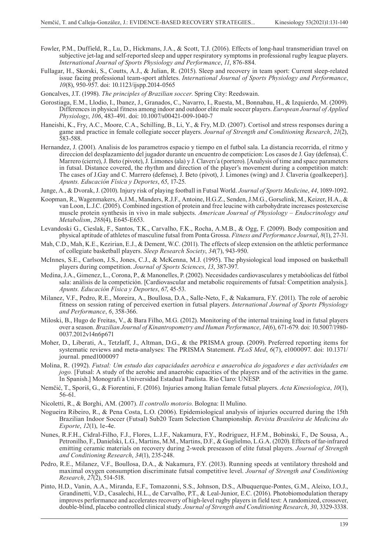- Fowler, P.M., Duffield, R., Lu, D., Hickmans, J.A., & Scott, T.J. (2016). Effects of long-haul transmeridian travel on subjective jet-lag and self-reported sleep and upper respiratory symptoms in professional rugby league players. *International Journal of Sports Physiology and Performance*, *11*, 876-884.
- Fullagar, H., Skorski, S., Coutts, A.J., & Julian, R. (2015). Sleep and recovery in team sport: Current sleep-related issue facing professional team-sport athletes. *International Journal of Sports Physiology and Performance*, *10*(8), 950-957. doi: 10.1123/ijspp.2014-0565
- Goncalves, J.T. (1998). *The principles of Brazilian soccer*. Spring City: Reedswain.
- Gorostiaga, E.M., Llodio, I., Ibanez, J., Granados, C., Navarro, I., Ruesta, M., Bonnabau, H., & Izquierdo, M. (2009). Differences in physical fitness among indoor and outdoor elite male soccer players. *European Journal of Applied Physiology*, *106*, 483-491. doi: 10.1007/s00421-009-1040-7
- Haneishi, K., Fry, A.C., Moore, C.A., Schilling, B., Li, Y., & Fry, M.D. (2007). Cortisol and stress responses during a game and practice in female collegiate soccer players. *Journal of Strength and Conditioning Research*, *21*(2), 583-588.
- Hernandez, J. (2001). Analisis de los parametros espacio y tiempo en el futbol sala. La distancia recorrida, el ritmo y direccion del desplazamiento del jugador durante un encuentro de competicion: Los casos de J. Gay (defensa), C. Marrero (cierre), J. Beto (pivote), J. Limones (ala) y J. Claverı´a (portero). [Analysis of time and space parameters in futsal. Distance covered, the rhythm and direction of the player's movement during a competition match: The cases of J.Gay and C. Marrero (defense), J. Beto (pivot), J. Limones (wing) and J. Claveria (goalkeeper).]. *Apunts. Educación Física y Deportes*, *65*, 17-25.
- Junge, A., & Dvorak, J. (2010). Injury risk of playing football in Futsal World. *Journal of Sports Medicine*, *44*, 1089-1092.
- Koopman, R., Wagenmakers, A.J.M., Manders, R.J.F., Antoine, H.G.Z., Senden, J.M.G., Gorselink, M., Keizer, H.A., & van Loon, L.J.C. (2005). Combined ingestion of protein and free leucine with carbohydrate increases postexercise muscle protein synthesis in vivo in male subjects. *American Journal of Physiology – Endocrinology and Metabolism*, *288*(4), E645-E653.
- Levandoski G., Cieslak, F., Santos, T.K., Carvalho, F.K., Rocha, A.M.B., & Ogg, F. (2009). Body composition and physical aptitude of athletes of masculine futsal from Ponta Grossa. *Fitness and Performance Journal*, *8*(1), 27-31.
- Mah, C.D., Mah, K.E., Kezirian, E.J., & Dement, W.C. (2011). The effects of sleep extension on the athletic performance of collegiate basketball players. *Sleep Research Society*, *34*(7), 943-950.
- McInnes, S.E., Carlson, J.S., Jones, C.J., & McKenna, M.J. (1995). The physiological load imposed on basketball players during competition. *Journal of Sports Sciences*, *13*, 387-397.
- Medina, J.A., Gimenez, L., Corona, P., & Manonelles, P. (2002). Necesidades cardiovasculares y metabóolicas del fútbol sala: análisis de la competición. [Cardiovascular and metabolic requirements of futsal: Competition analysis.]. *Apunts. Educación Física y Deportes*, *67*, 45-53.
- Milanez, V.F., Pedro, R.E., Moreira, A., Boullosa, D.A., Salle-Neto, F., & Nakamura, F.Y. (2011). The role of aerobic fitness on session rating of perceived exertion in futsal players. *International Journal of Sports Physiology and Performance*, *6*, 358-366.
- Miloski, B., Hugo de Freitas, V., & Bara Filho, M.G. (2012). Monitoring of the internal training load in futsal players over a season. *Brazilian Journal of Kinantropometry and Human Performance*, *14*(6), 671-679. doi: 10.5007/1980- 0037.2012v14n6p671
- Moher, D., Liberati, A., Tetzlaff, J., Altman, D.G., & the PRISMA group. (2009). Preferred reporting items for systematic reviews and meta-analyses: The PRISMA Statement. *PLoS Med*, *6*(7), e1000097. doi: 10.1371/ journal. pmed1000097
- Molina, R. (1992). *Futsal: Um estudo das capacidades aerobica e anaerobica do jogadores e das actividades em jogo.* [Futsal: A study of the aerobic and anaerobic capacities of the players and of the activities in the game. In Spanish.] Monografı´a Universidad Estadual Paulista. Rio Claro: UNESP.
- Nemčić, T., Sporiš, G., & Fiorentini, F. (2016). Injuries among Italian female futsal players. *Acta Kinesiologica*, *10*(1), 56-61.
- Nicoletti, R., & Borghi, AM. (2007). *Il controllo motorio*. Bologna: Il Mulino.
- Nogueira Ribeiro, R., & Pena Costa, L.O. (2006). Epidemiological analysis of injuries occurred during the 15th Brazilian Indoor Soccer (Futsal) Sub20 Team Selection Championship. *Revista Brasileira de Medicina do Esporte*, *12*(1), 1e-4e.
- Nunes, R.F.H., Cidral-Filho, F.J., Flores, L.J.F., Nakamura, F.Y., Rodriguez, H.F.M., Bobinski, F., De Sousa, A., Petronilho, F., Danielski, L.G., Martins, M.M., Martins, D.F., & Guglielmo, L.G.A. (2020). Effects of far-infrared emitting ceramic materials on recovery during 2-week preseason of elite futsal players. *Journal of Strength and Conditioning Research*, *34*(1), 235-248.
- Pedro, R.E., Milanez, V.F., Boullosa, D.A., & Nakamura, F.Y. (2013). Running speeds at ventilatory threshold and maximal oxygen consumption discriminate futsal competitive level. *Journal of Strength and Conditioning Research*, *27*(2), 514-518.
- Pinto, H.D., Vanin, A.A., Miranda, E.F., Tomazonni, S.S., Johnson, D.S., Albuquerque-Pontes, G.M., Aleixo, I.O.J., Grandinetti, V.D., Casalechi, H.L., de Carvalho, P.T., & Leal-Junior, E.C. (2016). Photobiomodulation therapy improves performance and accelerates recovery of high-level rugby players in field test: A randomized, crossover, double-blind, placebo controlled clinical study. *Journal of Strength and Conditioning Research*, *30*, 3329-3338.